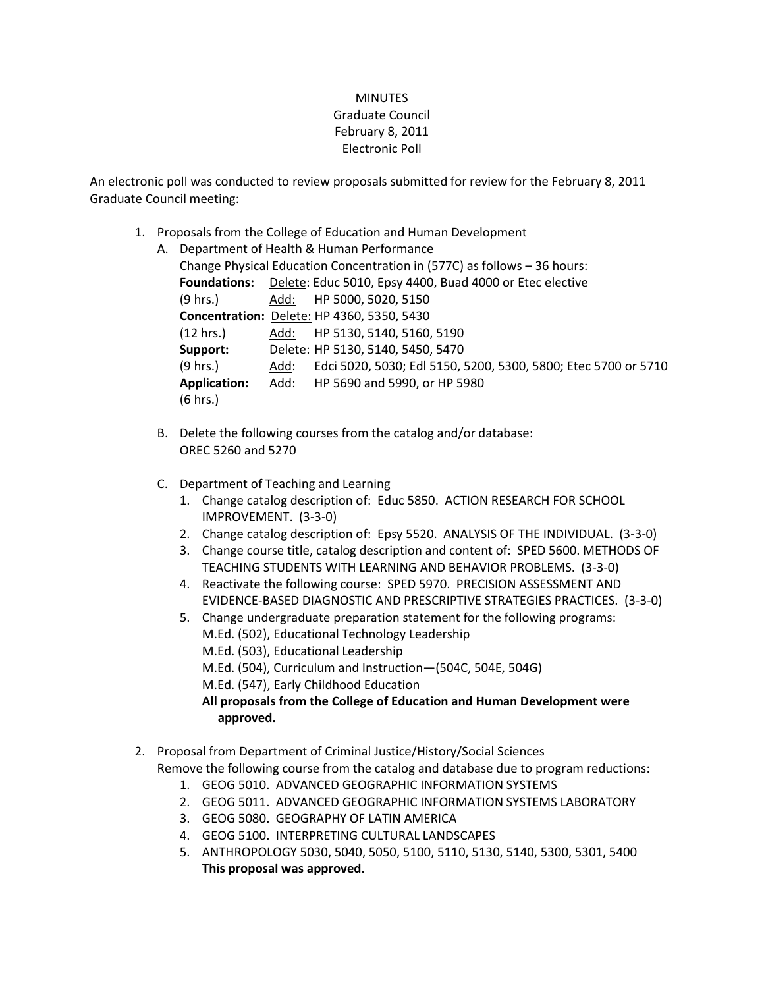## **MINUTES** Graduate Council February 8, 2011 Electronic Poll

An electronic poll was conducted to review proposals submitted for review for the February 8, 2011 Graduate Council meeting:

1. Proposals from the College of Education and Human Development

| А. | Department of Health & Human Performance |      |                                                                          |  |
|----|------------------------------------------|------|--------------------------------------------------------------------------|--|
|    |                                          |      | Change Physical Education Concentration in (577C) as follows - 36 hours: |  |
|    | <b>Foundations:</b>                      |      | Delete: Educ 5010, Epsy 4400, Buad 4000 or Etec elective                 |  |
|    | (9 hrs.)                                 |      | Add: HP 5000, 5020, 5150                                                 |  |
|    |                                          |      | <b>Concentration: Delete: HP 4360, 5350, 5430</b>                        |  |
|    | (12 hrs.)                                |      | Add: HP 5130, 5140, 5160, 5190                                           |  |
|    | Support:                                 |      | Delete: HP 5130, 5140, 5450, 5470                                        |  |
|    | (9 hrs.)                                 | Add: | Edci 5020, 5030; Edl 5150, 5200, 5300, 5800; Etec 5700 or 5710           |  |
|    | <b>Application:</b>                      |      | Add: HP 5690 and 5990, or HP 5980                                        |  |
|    | (6 hrs.)                                 |      |                                                                          |  |
|    |                                          |      |                                                                          |  |

- B. Delete the following courses from the catalog and/or database: OREC 5260 and 5270
- C. Department of Teaching and Learning
	- 1. Change catalog description of: Educ 5850. ACTION RESEARCH FOR SCHOOL IMPROVEMENT. (3-3-0)
	- 2. Change catalog description of: Epsy 5520. ANALYSIS OF THE INDIVIDUAL. (3-3-0)
	- 3. Change course title, catalog description and content of: SPED 5600. METHODS OF TEACHING STUDENTS WITH LEARNING AND BEHAVIOR PROBLEMS. (3-3-0)
	- 4. Reactivate the following course: SPED 5970. PRECISION ASSESSMENT AND EVIDENCE-BASED DIAGNOSTIC AND PRESCRIPTIVE STRATEGIES PRACTICES. (3-3-0)
	- 5. Change undergraduate preparation statement for the following programs: M.Ed. (502), Educational Technology Leadership
		- M.Ed. (503), Educational Leadership
		- M.Ed. (504), Curriculum and Instruction—(504C, 504E, 504G)
		- M.Ed. (547), Early Childhood Education

**All proposals from the College of Education and Human Development were approved.**

- 2. Proposal from Department of Criminal Justice/History/Social Sciences Remove the following course from the catalog and database due to program reductions:
	- 1. GEOG 5010. ADVANCED GEOGRAPHIC INFORMATION SYSTEMS
	- 2. GEOG 5011. ADVANCED GEOGRAPHIC INFORMATION SYSTEMS LABORATORY
	- 3. GEOG 5080. GEOGRAPHY OF LATIN AMERICA
	- 4. GEOG 5100. INTERPRETING CULTURAL LANDSCAPES
	- 5. ANTHROPOLOGY 5030, 5040, 5050, 5100, 5110, 5130, 5140, 5300, 5301, 5400 **This proposal was approved.**